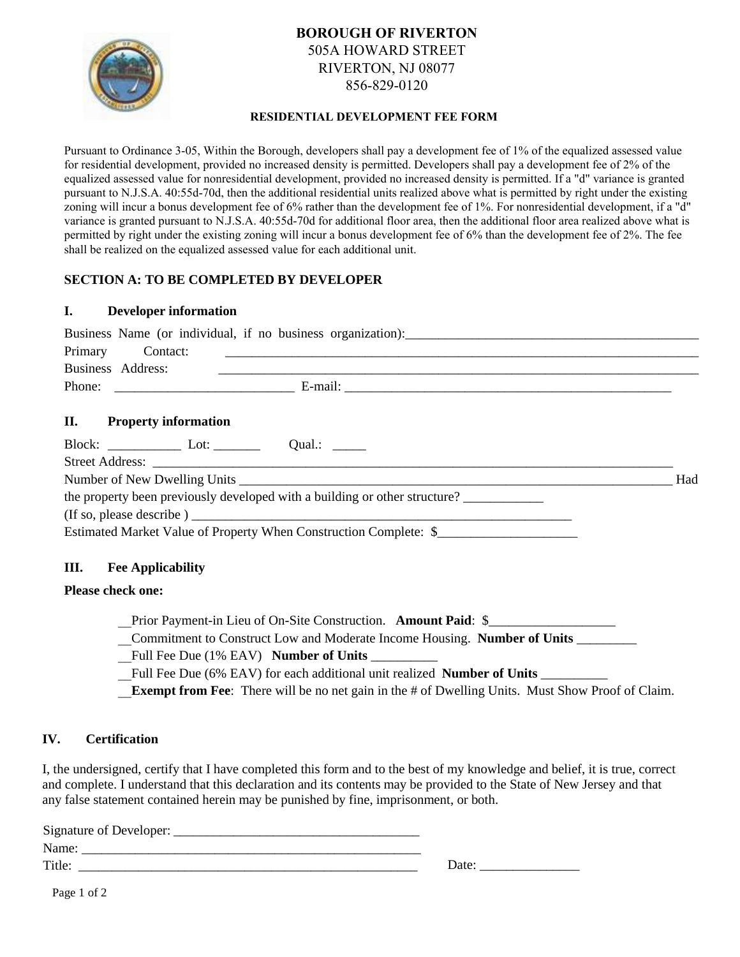

# **BOROUGH OF RIVERTON** 505A HOWARD STREET RIVERTON, NJ 08077 856-829-0120

### **RESIDENTIAL DEVELOPMENT FEE FORM**

Pursuant to Ordinance 3-05, Within the Borough, developers shall pay a development fee of 1% of the equalized assessed value for residential development, provided no increased density is permitted. Developers shall pay a development fee of 2% of the equalized assessed value for nonresidential development, provided no increased density is permitted. If a "d" variance is granted pursuant to N.J.S.A. 40:55d-70d, then the additional residential units realized above what is permitted by right under the existing zoning will incur a bonus development fee of 6% rather than the development fee of 1%. For nonresidential development, if a "d" variance is granted pursuant to N.J.S.A. 40:55d-70d for additional floor area, then the additional floor area realized above what is permitted by right under the existing zoning will incur a bonus development fee of 6% than the development fee of 2%. The fee shall be realized on the equalized assessed value for each additional unit.

## **SECTION A: TO BE COMPLETED BY DEVELOPER**

### **I. Developer information**

| Primary Contact:                |                                                                                                                        |     |
|---------------------------------|------------------------------------------------------------------------------------------------------------------------|-----|
| Business Address:               | <u> 1990 - Jan James Sandar, martin amerikan ba</u> rat dan bertama di sebagai bertama dan bertama dan bertama dalam b |     |
|                                 |                                                                                                                        |     |
| <b>II.</b> Property information |                                                                                                                        |     |
|                                 |                                                                                                                        |     |
|                                 |                                                                                                                        | Had |
|                                 | the property been previously developed with a building or other structure?                                             |     |
|                                 |                                                                                                                        |     |

Estimated Market Value of Property When Construction Complete: \$\_\_\_\_\_\_\_\_\_\_\_\_\_\_\_\_

## **III. Fee Applicability**

## **Please check one:**

Prior Payment-in Lieu of On-Site Construction. **Amount Paid**: \$

\_\_Commitment to Construct Low and Moderate Income Housing. **Number of Units** \_\_\_\_\_\_\_\_\_

Full Fee Due (1% EAV) **Number of Units** 

Full Fee Due (6% EAV) for each additional unit realized **Number of Units** 

**Exempt from Fee**: There will be no net gain in the # of Dwelling Units. Must Show Proof of Claim.

## **IV. Certification**

I, the undersigned, certify that I have completed this form and to the best of my knowledge and belief, it is true, correct and complete. I understand that this declaration and its contents may be provided to the State of New Jersey and that any false statement contained herein may be punished by fine, imprisonment, or both.

| Signature of Developer: |       |
|-------------------------|-------|
| Name:                   |       |
| Title:                  | Date: |